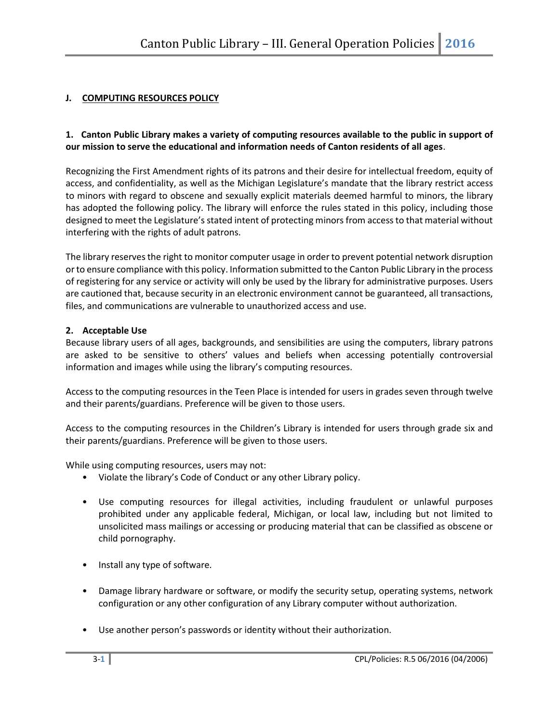# **J. COMPUTING RESOURCES POLICY**

#### **1. Canton Public Library makes a variety of computing resources available to the public in support of our mission to serve the educational and information needs of Canton residents of all ages**.

Recognizing the First Amendment rights of its patrons and their desire for intellectual freedom, equity of access, and confidentiality, as well as the Michigan Legislature's mandate that the library restrict access to minors with regard to obscene and sexually explicit materials deemed harmful to minors, the library has adopted the following policy. The library will enforce the rules stated in this policy, including those designed to meet the Legislature's stated intent of protecting minors from access to that material without interfering with the rights of adult patrons.

The library reserves the right to monitor computer usage in order to prevent potential network disruption or to ensure compliance with this policy. Information submitted to the Canton Public Library in the process of registering for any service or activity will only be used by the library for administrative purposes. Users are cautioned that, because security in an electronic environment cannot be guaranteed, all transactions, files, and communications are vulnerable to unauthorized access and use.

#### **2. Acceptable Use**

Because library users of all ages, backgrounds, and sensibilities are using the computers, library patrons are asked to be sensitive to others' values and beliefs when accessing potentially controversial information and images while using the library's computing resources.

Access to the computing resources in the Teen Place is intended for users in grades seven through twelve and their parents/guardians. Preference will be given to those users.

Access to the computing resources in the Children's Library is intended for users through grade six and their parents/guardians. Preference will be given to those users.

While using computing resources, users may not:

- Violate the library's Code of Conduct or any other Library policy.
- Use computing resources for illegal activities, including fraudulent or unlawful purposes prohibited under any applicable federal, Michigan, or local law, including but not limited to unsolicited mass mailings or accessing or producing material that can be classified as obscene or child pornography.
- Install any type of software.
- Damage library hardware or software, or modify the security setup, operating systems, network configuration or any other configuration of any Library computer without authorization.
- Use another person's passwords or identity without their authorization.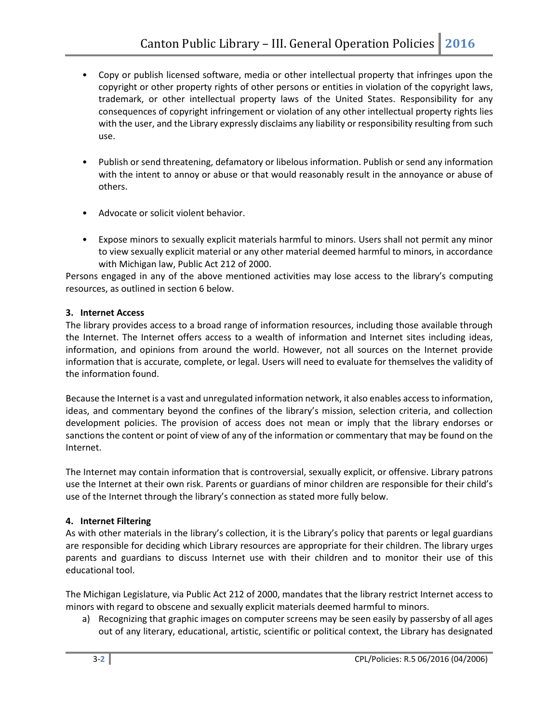- Copy or publish licensed software, media or other intellectual property that infringes upon the copyright or other property rights of other persons or entities in violation of the copyright laws, trademark, or other intellectual property laws of the United States. Responsibility for any consequences of copyright infringement or violation of any other intellectual property rights lies with the user, and the Library expressly disclaims any liability or responsibility resulting from such use.
- Publish or send threatening, defamatory or libelous information. Publish or send any information with the intent to annoy or abuse or that would reasonably result in the annoyance or abuse of others.
- Advocate or solicit violent behavior.
- Expose minors to sexually explicit materials harmful to minors. Users shall not permit any minor to view sexually explicit material or any other material deemed harmful to minors, in accordance with Michigan law, Public Act 212 of 2000.

Persons engaged in any of the above mentioned activities may lose access to the library's computing resources, as outlined in section 6 below.

## **3. Internet Access**

The library provides access to a broad range of information resources, including those available through the Internet. The Internet offers access to a wealth of information and Internet sites including ideas, information, and opinions from around the world. However, not all sources on the Internet provide information that is accurate, complete, or legal. Users will need to evaluate for themselves the validity of the information found.

Because the Internet is a vast and unregulated information network, it also enables access to information, ideas, and commentary beyond the confines of the library's mission, selection criteria, and collection development policies. The provision of access does not mean or imply that the library endorses or sanctions the content or point of view of any of the information or commentary that may be found on the Internet.

The Internet may contain information that is controversial, sexually explicit, or offensive. Library patrons use the Internet at their own risk. Parents or guardians of minor children are responsible for their child's use of the Internet through the library's connection as stated more fully below.

## **4. Internet Filtering**

As with other materials in the library's collection, it is the Library's policy that parents or legal guardians are responsible for deciding which Library resources are appropriate for their children. The library urges parents and guardians to discuss Internet use with their children and to monitor their use of this educational tool.

The Michigan Legislature, via Public Act 212 of 2000, mandates that the library restrict Internet access to minors with regard to obscene and sexually explicit materials deemed harmful to minors.

a) Recognizing that graphic images on computer screens may be seen easily by passersby of all ages out of any literary, educational, artistic, scientific or political context, the Library has designated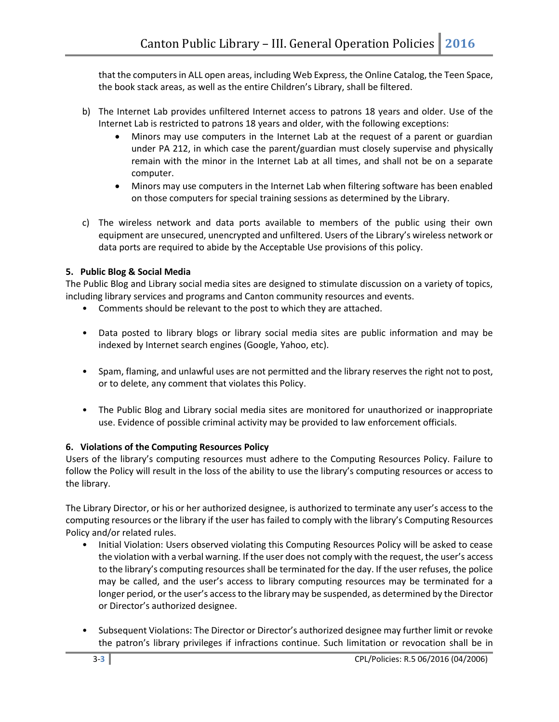that the computers in ALL open areas, including Web Express, the Online Catalog, the Teen Space, the book stack areas, as well as the entire Children's Library, shall be filtered.

- b) The Internet Lab provides unfiltered Internet access to patrons 18 years and older. Use of the Internet Lab is restricted to patrons 18 years and older, with the following exceptions:
	- Minors may use computers in the Internet Lab at the request of a parent or guardian under PA 212, in which case the parent/guardian must closely supervise and physically remain with the minor in the Internet Lab at all times, and shall not be on a separate computer.
	- Minors may use computers in the Internet Lab when filtering software has been enabled on those computers for special training sessions as determined by the Library.
- c) The wireless network and data ports available to members of the public using their own equipment are unsecured, unencrypted and unfiltered. Users of the Library's wireless network or data ports are required to abide by the Acceptable Use provisions of this policy.

## **5. Public Blog & Social Media**

The Public Blog and Library social media sites are designed to stimulate discussion on a variety of topics, including library services and programs and Canton community resources and events.

- Comments should be relevant to the post to which they are attached.
- Data posted to library blogs or library social media sites are public information and may be indexed by Internet search engines (Google, Yahoo, etc).
- Spam, flaming, and unlawful uses are not permitted and the library reserves the right not to post, or to delete, any comment that violates this Policy.
- The Public Blog and Library social media sites are monitored for unauthorized or inappropriate use. Evidence of possible criminal activity may be provided to law enforcement officials.

## **6. Violations of the Computing Resources Policy**

Users of the library's computing resources must adhere to the Computing Resources Policy. Failure to follow the Policy will result in the loss of the ability to use the library's computing resources or access to the library.

The Library Director, or his or her authorized designee, is authorized to terminate any user's access to the computing resources or the library if the user has failed to comply with the library's Computing Resources Policy and/or related rules.

- Initial Violation: Users observed violating this Computing Resources Policy will be asked to cease the violation with a verbal warning. If the user does not comply with the request, the user's access to the library's computing resources shall be terminated for the day. If the user refuses, the police may be called, and the user's access to library computing resources may be terminated for a longer period, or the user's access to the library may be suspended, as determined by the Director or Director's authorized designee.
- Subsequent Violations: The Director or Director's authorized designee may further limit or revoke the patron's library privileges if infractions continue. Such limitation or revocation shall be in